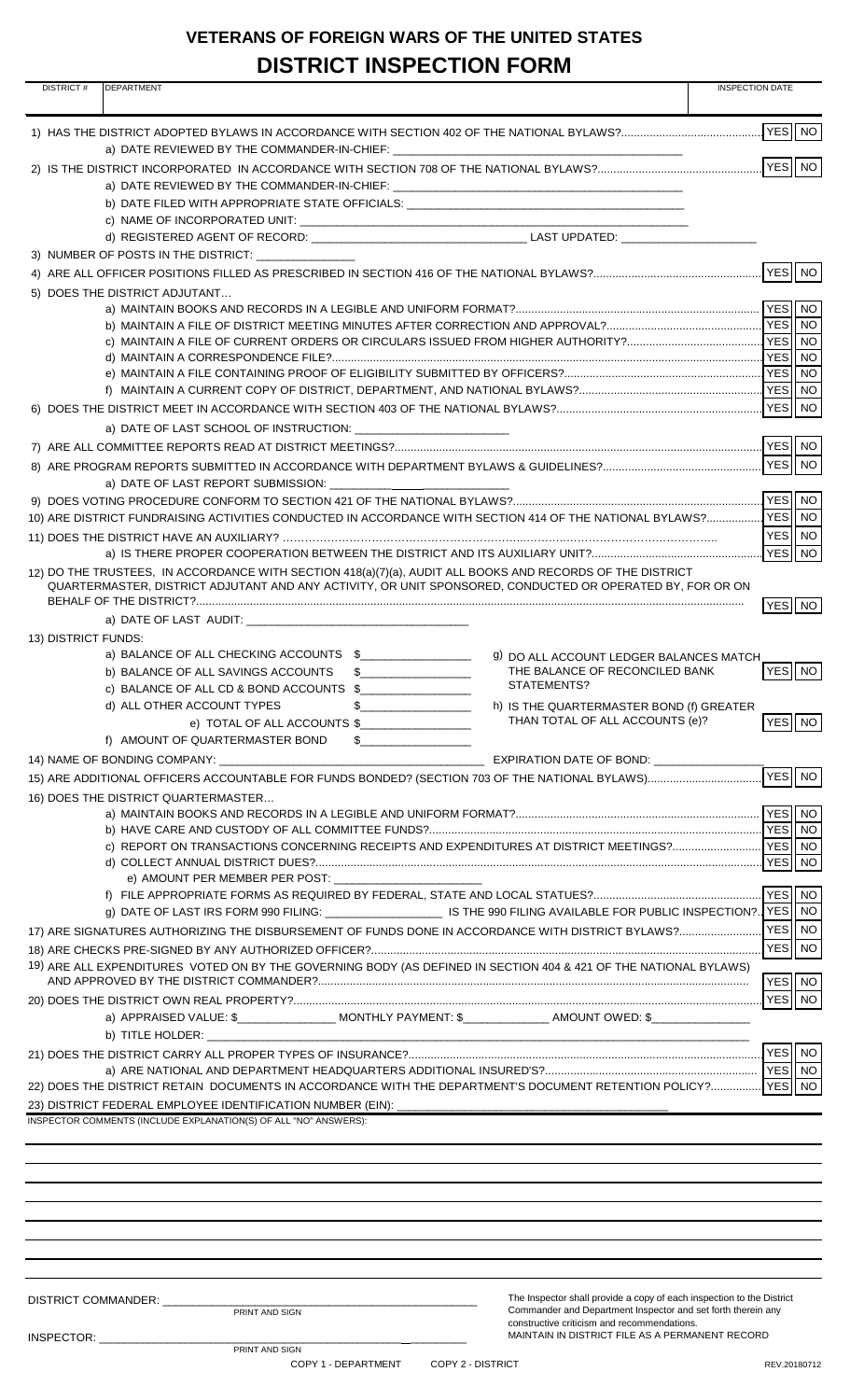## **VETERANS OF FOREIGN WARS OF THE UNITED STATES DISTRICT INSPECTION FORM**

| <b>DISTRICT#</b>    | וזוועו ו דושו בשנו ושום שוש<br><b>DEPARTMENT</b>                                                                                                                                                                               | <b>INSPECTION DATE</b> |
|---------------------|--------------------------------------------------------------------------------------------------------------------------------------------------------------------------------------------------------------------------------|------------------------|
|                     |                                                                                                                                                                                                                                |                        |
|                     | a) DATE REVIEWED BY THE COMMANDER-IN-CHIEF: University of the community of the community of the community of the community of the community of the community of the community of the community of the community of the communi |                        |
|                     |                                                                                                                                                                                                                                | YES NO                 |
|                     | b) DATE FILED WITH APPROPRIATE STATE OFFICIALS: _________________________________                                                                                                                                              |                        |
|                     |                                                                                                                                                                                                                                |                        |
|                     | 3) NUMBER OF POSTS IN THE DISTRICT:                                                                                                                                                                                            |                        |
|                     |                                                                                                                                                                                                                                | VES NO                 |
|                     | 5) DOES THE DISTRICT ADJUTANT                                                                                                                                                                                                  |                        |
|                     |                                                                                                                                                                                                                                |                        |
|                     |                                                                                                                                                                                                                                |                        |
|                     |                                                                                                                                                                                                                                |                        |
|                     |                                                                                                                                                                                                                                |                        |
|                     |                                                                                                                                                                                                                                | YES NO                 |
|                     |                                                                                                                                                                                                                                |                        |
|                     |                                                                                                                                                                                                                                | YES NO                 |
|                     |                                                                                                                                                                                                                                |                        |
|                     |                                                                                                                                                                                                                                |                        |
|                     |                                                                                                                                                                                                                                |                        |
|                     |                                                                                                                                                                                                                                | YES INO                |
|                     |                                                                                                                                                                                                                                | YES NO                 |
|                     | 12) DO THE TRUSTEES, IN ACCORDANCE WITH SECTION 418(a)(7)(a), AUDIT ALL BOOKS AND RECORDS OF THE DISTRICT<br>QUARTERMASTER, DISTRICT ADJUTANT AND ANY ACTIVITY, OR UNIT SPONSORED, CONDUCTED OR OPERATED BY, FOR OR ON         | YES NO                 |
|                     | a) DATE OF LAST AUDIT: A AND AND A SERIES OF LAST AUDIT:                                                                                                                                                                       |                        |
| 13) DISTRICT FUNDS: |                                                                                                                                                                                                                                |                        |
|                     | a) BALANCE OF ALL CHECKING ACCOUNTS \$<br>9) DO ALL ACCOUNT LEDGER BALANCES MATCH<br>THE BALANCE OF RECONCILED BANK<br>b) BALANCE OF ALL SAVINGS ACCOUNTS<br>$\sim$                                                            | YES NO                 |
|                     | STATEMENTS?<br>c) BALANCE OF ALL CD & BOND ACCOUNTS \$                                                                                                                                                                         |                        |
|                     | d) ALL OTHER ACCOUNT TYPES<br>h) IS THE QUARTERMASTER BOND (f) GREATER                                                                                                                                                         |                        |
|                     | THAN TOTAL OF ALL ACCOUNTS (e)?<br>e) TOTAL OF ALL ACCOUNTS \$                                                                                                                                                                 | YES NO                 |
|                     | f) AMOUNT OF QUARTERMASTER BOND<br>$\sim$                                                                                                                                                                                      |                        |
|                     |                                                                                                                                                                                                                                | YES   NO               |
|                     | 16) DOES THE DISTRICT QUARTERMASTER                                                                                                                                                                                            |                        |
|                     |                                                                                                                                                                                                                                | NO                     |
|                     |                                                                                                                                                                                                                                |                        |
|                     |                                                                                                                                                                                                                                | YES   NO               |
|                     | e) AMOUNT PER MEMBER PER POST:                                                                                                                                                                                                 | YES NO                 |
|                     | g) DATE OF LAST IRS FORM 990 FILING: _______________________IS THE 990 FILING AVAILABLE FOR PUBLIC INSPECTION?. YES    NO                                                                                                      |                        |
|                     | 17) ARE SIGNATURES AUTHORIZING THE DISBURSEMENT OF FUNDS DONE IN ACCORDANCE WITH DISTRICT BYLAWS?                                                                                                                              | YES NO                 |
|                     |                                                                                                                                                                                                                                | YES NO                 |
|                     | 19) ARE ALL EXPENDITURES VOTED ON BY THE GOVERNING BODY (AS DEFINED IN SECTION 404 & 421 OF THE NATIONAL BYLAWS)                                                                                                               | YES NO                 |
|                     |                                                                                                                                                                                                                                | YES NO                 |
|                     | a) APPRAISED VALUE: \$___________________MONTHLY PAYMENT: \$________________AMOUNT OWED: \$____________                                                                                                                        |                        |
|                     | <u> 1980 - Johann John Harry, mars ar yn y brenin y brenin y brenin y brenin y brenin y brenin y brenin y brenin</u>                                                                                                           |                        |
|                     |                                                                                                                                                                                                                                |                        |
|                     | 22) DOES THE DISTRICT RETAIN DOCUMENTS IN ACCORDANCE WITH THE DEPARTMENT'S DOCUMENT RETENTION POLICY? YES                                                                                                                      | NO.                    |
|                     | 23) DISTRICT FEDERAL EMPLOYEE IDENTIFICATION NUMBER (EIN): _____________                                                                                                                                                       |                        |
|                     | INSPECTOR COMMENTS (INCLUDE EXPLANATION(S) OF ALL "NO" ANSWERS):                                                                                                                                                               |                        |
|                     |                                                                                                                                                                                                                                |                        |
|                     |                                                                                                                                                                                                                                |                        |
|                     |                                                                                                                                                                                                                                |                        |
|                     |                                                                                                                                                                                                                                |                        |
|                     |                                                                                                                                                                                                                                |                        |
|                     |                                                                                                                                                                                                                                |                        |
|                     |                                                                                                                                                                                                                                |                        |
|                     | The Inspector shall provide a copy of each inspection to the District<br>DISTRICT COMMANDER: ____<br>Commander and Department Inspector and set forth therein any<br>PRINT AND SIGN                                            |                        |
|                     | constructive criticism and recommendations.                                                                                                                                                                                    |                        |
|                     | MAINTAIN IN DISTRICT FILE AS A PERMANENT RECORD<br>INSPECTOR: International Section 2014<br>PRINT AND SIGN                                                                                                                     |                        |